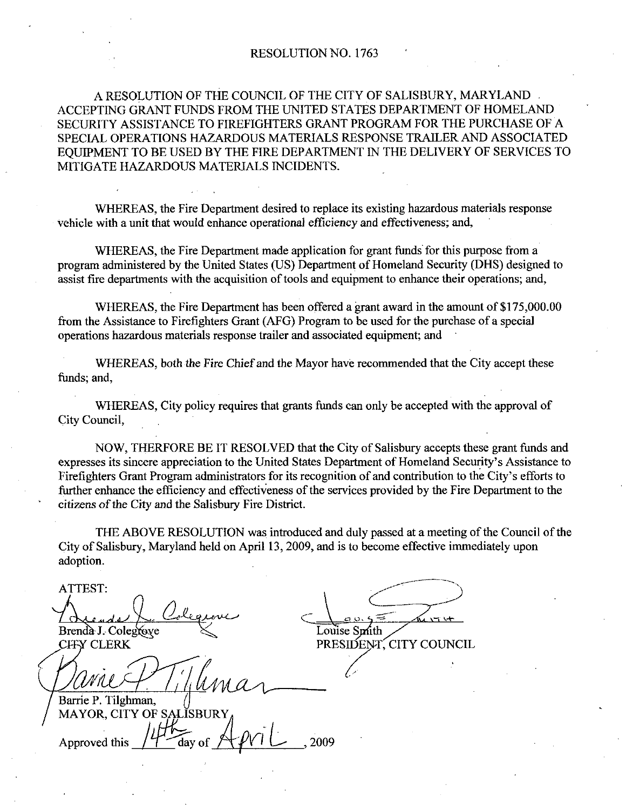### RESOLUTION NO. 1763

A RESOLUTION OF THE COUNCIL OF THE CITY OF SALISBURY, MARYLAND. ACCEPTING GRANT FUNDS FROM THE UNITED STATES DEPARTMENT OF HOMELAND SECURITY ASSISTANCE TO FIREFIGHTERS GRANT PROGRAM FOR THE PURCHASE OF A SPECIAL OPERATIONS HAZARDOUS MATERIALS RESPONSE TRAILER AND ASSOCIATED EQUIPMENT TO BE USED BY THE FIRE DEPARTMENT IN THE DELIVERY OF SERVICES TO MITIGATE HAZARDOUS MATERIALS INCIDENTS

WHEREAS, the Fire Department desired to replace its existing hazardous materials response vehicle with a unit that would enhance operational efficiency and effectiveness; and,

WHEREAS, the Fire Department made application for grant funds for this purpose from a program administered by the United States (US) Department of Homeland Security (DHS) designed to assist fire departments with the acquisition of tools and equipment to enhance their operations; and,

WHEREAS, the Fire Department has been offered a pment to enhance their operations; and,<br>grant award in the amount of \$175,000.00<br>be used for the purchase of a special from the Assistance to Firefighters Grant (AFG) Program to be used for the purchase of a special operations hazardous materials response trailer and associated equipment; and

WHEREAS, both the Fire Chief and the Mayor have recommended that the City accept these funds; and,

WHEREAS, City policy requires that grants funds can only be accepted with the approval of City Council

NOW, THERFORE BE IT RESOLVED that the City of Salisbury accepts these grant funds and WHEREAS, City policy requires that grants funds can only be accepted with the approval of<br>City Council,<br>NOW, THERFORE BE IT RESOLVED that the City of Salisbury accepts these grant funds and<br>expresses its sincere appreciati expresses its sincere appreciation to the United States Department of Homeland Security's Assistance to further enhance the efficiency and effectiveness of the services provided by the Fire Department to the citizens of the City and the Salisbury Fire District.

THE ABOVE RESOLUTION was introduced and duly passed at ameeting of the Council of the City of Salisbury, Maryland held on April 13, 2009, and is to become effective immediately upon adoption

ATTEST ALCOMENT DE Brenda J. Colegraye L ST:<br>  $\frac{1}{2 \text{ rad s}} \int_C C_0 \text{degree}$ <br>  $\frac{1}{2 \text{ rad s}} \int_C C_0 \text{degree}$ <br>
CLERK PRESIDENT, CITY COUNCIL i<br>ار<br>سر

Louise Smith PRESIDENT, CITY COUNCIL

Barrie P. Tilghman, MAYOR, CITY OF SALISBURY<br>Approved this  $\sqrt{\frac{1}{1-\alpha}}$  day of  $\sqrt{\frac{1}{1-\alpha}}$ , 2009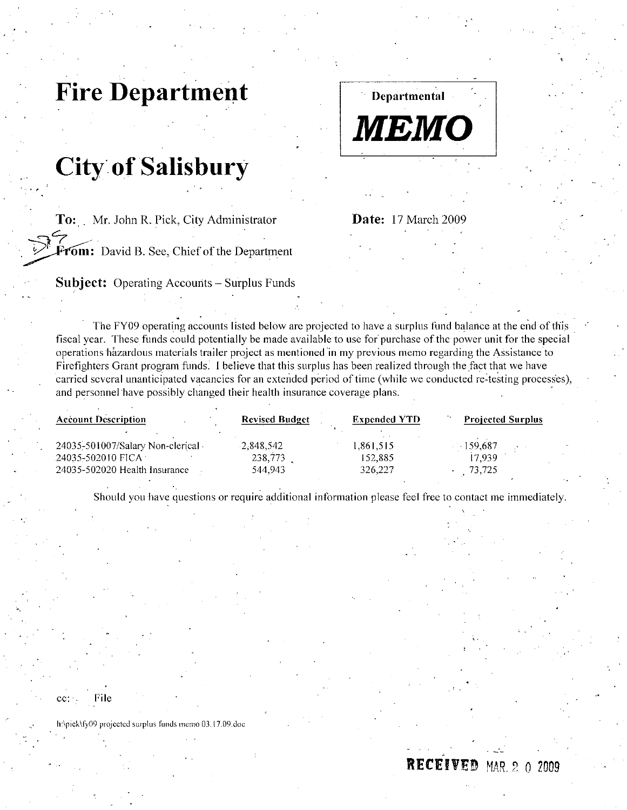# Fire Department

# **City of Salisbury**

To: Mr. John R. Pick, City Administrator

From: David B. See, Chief of the Department

**Subject:** Operating Accounts – Surplus Funds

The FY09 operating accounts listed below are projected to have a surplus fund balance at the end of this **From:** Date: 17 March 2009<br>**From:** David B. See, Chief of the Department<br>**Subject:** Operating Accounts – Surplus Funds<br>**The FY09** operating accounts isted below are projected to have a surplus fund balance at the end of t fiscal year. These funds could potentially be made available to use for purchase of the power unit for the special operations hazardous materials trailer project as mentioned in my previous memo regarding the Assistance to Firefighters Grant program funds. I believe that this surplus has been realized through the fact that we have carried several unanticipated vacancies for an extended period of time (while we conducted re-testing processes).

| and personnel have possibly changed their health insurance coverage plans. |                       |                     |                          |
|----------------------------------------------------------------------------|-----------------------|---------------------|--------------------------|
| <b>Account Description</b>                                                 | <b>Revised Budget</b> | <b>Expended YTD</b> | <b>Projected Surplus</b> |
| 24035-501007/Salary Non-clerical -                                         | $-2,848,542$          | 1.861,515           | 159,687                  |
| 24035-502010 FICA                                                          | 238,773               | 152,885             | 17.939                   |
| 24035-502020 Health Insurance                                              | 544.943               | 326,227             | 73,725                   |

Should you have questions or require additional information please feel free to contact me immediately.

MEMO

Departmental

Date: 17 March 2009

cc: File

**cc:** File<br>h:\pick\fy09 projected surplus funds memo 03.17.09.doc

RECEIVED MAR 2 0 2009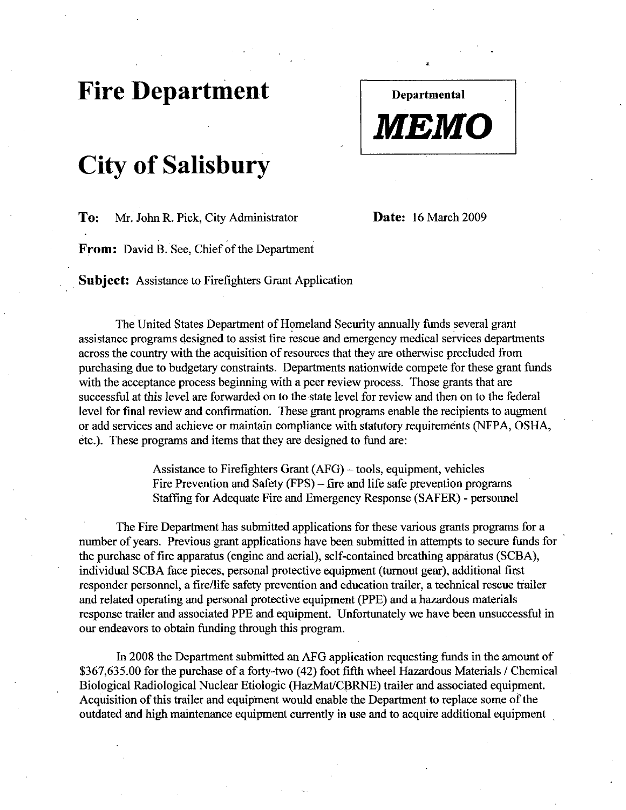### Fire Department

# City of Salisbury

To: Mr. John R. Pick, City Administrator **Date:** 16 March 2009

Departmental

MEMO

From: David B. See, Chief of the Department

**Subject:** Assistance to Firefighters Grant Application

The United States Department of Homeland Security annually funds several grant assistance programs designed to assist fire rescue and emergency medical services deparkments across the country with the acquisition of resources that they are otherwise precluded from purchasing due to budgetary constraints. Departments nationwide compete for these grant funds with the acceptance process beginning with a peer review process. Those grants that are successful at this level aze forwarded on to the state level for review and then on to the federal level for final review and confirmation. These grant programs enable the recipients to augment or add services and achieve or maintain compliance with statutory requirements (NFPA, OSHA, etc.). These programs and items that they are designed to fund are:

> Assistance to Firefighters Grant  $(AFG)$  – tools, equipment, vehicles Fire Prevention and Safety (FPS) – fire and life safe prevention programs Staffing for Adequate Fire and Emergency Response (SAFER) - personnel

The Fire Department has submitted applications for these various grants programs for a number of years. Previous grant applications have been submitted in attempts to secure funds for The Fire Department has submitted applications for these various grants programs for<br>number of years. Previous grant applications have been submitted in attempts to secure funds<br>the purchase of fire apparatus (engine and a individual SCBA face pieces, personal protective equipment (turnout gear), additional first responder personnel, a fire/life safety prevention and education trailer, a technical rescue trailer and related operating and personal protective equipment (PPE) and a hazardous materials response trailer and associated PPE and equipment. Unfortunately we have been unsuccessful in our endeavors to obtain funding through this program.

In <sup>2008</sup> the Department submitted an AFG application requesting funds in the amount of In 2008 the Department submitted an AFG application requesting funds in the amount of<br>\$367,635.00 for the purchase of a forty-two (42) foot fifth wheel Hazardous Materials / Chemical<br>Biological Radiological Nuclear Etiolog Biological Radiological Nuclear Etiologic (HazMat/CBRNE) trailer and associated equipment. Acquisition of this trailer and equipment would enable the Department to replace some of the outdated and high maintenance equipment currently in use and to acquire additional equipment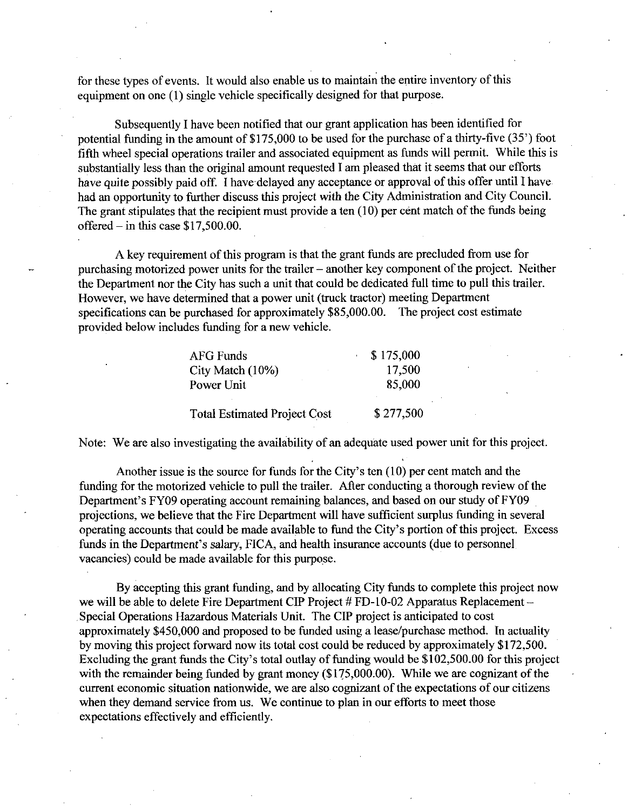for these types of events. It would also enable us to maintain the entire inventory of this equipment on one (1) single vehicle specifically designed for that purpose.

Subsequently Ihave been notified that our grant application has been identified for potential funding in the amount of  $$175,000$  to be used for the purchase of a thirty-five  $(35^{\circ})$  foot fifth wheel special operations trailer and associated equipment as funds will permit. While this is substantially less than the original amount requested I am pleased that it seems that our efforts have quite possibly paid off. I have delayed any acceptance or approval of this offer until I have had an opportunity to further discuss this project with the City Administration and City Council. The grant stipulates that the recipient must provide a ten  $(10)$  per cent match of the funds being had an opportunity to further disc<br>The grant stipulates that the recip<br>offered – in this case \$17,500.00.

A key requirement of this program is that the grant funds are precluded from use for purchasing motorized power units for the trailer  $-$  another key component of the project. Neither the Department nor the City has such a unit that could be dedicated full time to pull this trailer. However, we have determined that a power unit (truck tractor) meeting Department specifications can be purchased for approximately  $$85,000.00$ . The project cost estimate provided below includes funding for a new vehicle.

| <b>AFG Funds</b>                    | \$175,000 |
|-------------------------------------|-----------|
| City Match (10%)                    | 17,500    |
| Power Unit                          | 85,000    |
| <b>Total Estimated Project Cost</b> | \$277,500 |

Note: We are also investigating the availability of an adequate used power unit for this project.

Note: We are also investigating the availability of an adequate used power unit for this project<br>Another issue is the source for funds for the City's ten (10) per cent match and the<br>funding for the motorized vehicle to pul Total Estimated Project Cost \$277,500<br>Note: We are also investigating the availability of an adequate used power unit for this pro<br>Another issue is the source for funds for the City's ten (10) per cent match and the<br>fundin projections, we believe that the Fire Department will have sufficient surplus funding in several operating accounts that could be made available to fund the City's portion of this project. Excess Department's FY09 operating account remaining balances, and based on our study of FY09 projections, we believe that the Fire Department will have sufficient surplus funding in seve operating accounts that could be made ava Another issue is the source for funds for the City's ten (10) per cent match and th<br>funding for the motorized vehicle to pull the trailer. After conducting a thorough review<br>Department's FY09 operating account remaining ba vacancies) could be made available for this purpose.

By accepting this grant funding, and by allocating City funds to complete this project now we will be able to delete Fire Department CIP Project  $# FD-10-02$  Apparatus Replacement -Special Operations Hazardous Materials Unit. The CIP project is anticipated to cost approximately \$450,000 and proposed to be funded using a lease/purchase method. In actuality by moving this project forward now its total cost could be reduced by approximately \$172,500. approximately \$450,000 and proposed to be funded using a lease/purchase method. In actuality<br>by moving this project forward now its total cost could be reduced by approximately \$172,500.<br>Excluding the grant funds the City' approximately \$450,000 and proposed to be funded using a lease/purchase method. In actuality<br>by moving this project forward now its total cost could be reduced by approximately \$172,500.<br>Excluding the grant funds the City' current economic situation nationwide, we are also cognizant of the expectations of our citizens when they demand service from us. We continue to plan in our efforts to meet those expectations effectively and efficiently